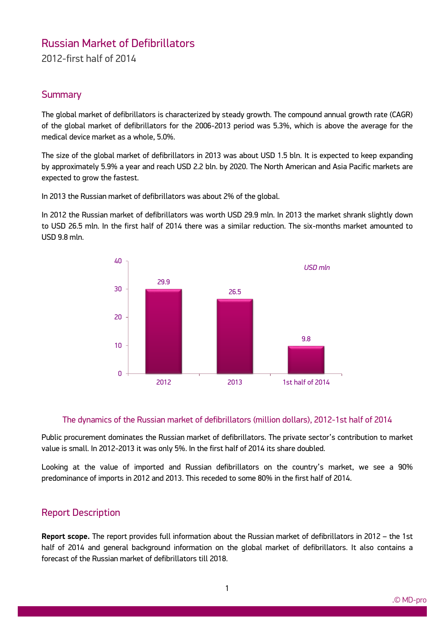# Russian Market of Defibrillators

2012-first half of 2014

### **Summary**

The global market of defibrillators is characterized by steady growth. The compound annual growth rate (CAGR) of the global market of defibrillators for the 2006-2013 period was 5.3%, which is above the average for the medical device market as a whole, 5.0%.

The size of the global market of defibrillators in 2013 was about USD 1.5 bln. It is expected to keep expanding by approximately 5.9% a year and reach USD 2.2 bln. by 2020. The North American and Asia Pacific markets are expected to grow the fastest.

In 2013 the Russian market of defibrillators was about 2% of the global.

In 2012 the Russian market of defibrillators was worth USD 29.9 mln. In 2013 the market shrank slightly down to USD 26.5 mln. In the first half of 2014 there was a similar reduction. The six-months market amounted to USD 9.8 mln.



#### The dynamics of the Russian market of defibrillators (million dollars), 2012-1st half of 2014

Public procurement dominates the Russian market of defibrillators. The private sector's contribution to market value is small. In 2012-2013 it was only 5%. In the first half of 2014 its share doubled.

Looking at the value of imported and Russian defibrillators on the country's market, we see a 90% predominance of imports in 2012 and 2013. This receded to some 80% in the first half of 2014.

### Report Description

ww.mdecker.com

**Report scope.** The report provides full information about the Russian market of defibrillators in 2012 – the 1st half of 2014 and general background information on the global market of defibrillators. It also contains a forecast of the Russian market of defibrillators till 2018.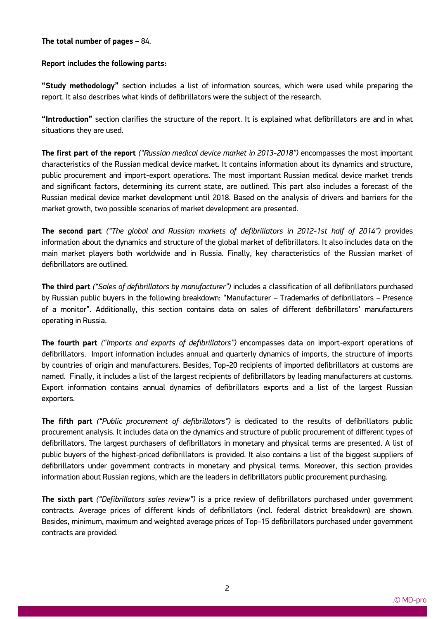#### **The total number of pages** – 84.

ww.mdecker.com

#### **Report includes the following parts:**

**"Study methodology"** section includes a list of information sources, which were used while preparing the report. It also describes what kinds of defibrillators were the subject of the research.

**"Introduction"** section clarifies the structure of the report. It is explained what defibrillators are and in what situations they are used.

**The first part of the report** *("Russian medical device market in 2013-2018")* encompasses the most important characteristics of the Russian medical device market. It contains information about its dynamics and structure, public procurement and import-export operations. The most important Russian medical device market trends and significant factors, determining its current state, are outlined. This part also includes a forecast of the Russian medical device market development until 2018. Based on the analysis of drivers and barriers for the market growth, two possible scenarios of market development are presented.

**The second part** *("The global and Russian markets of defibrillators in 2012-1st half of 2014")* provides information about the dynamics and structure of the global market of defibrillators. It also includes data on the main market players both worldwide and in Russia. Finally, key characteristics of the Russian market of defibrillators are outlined.

**The third part** *("Sales of defibrillators by manufacturer")* includes a classification of all defibrillators purchased by Russian public buyers in the following breakdown: "Manufacturer – Trademarks of defibrillators – Presence of a monitor". Additionally, this section contains data on sales of different defibrillators' manufacturers operating in Russia.

**The fourth part** *("Imports and exports of defibrillators")* encompasses data on import-export operations of defibrillators. Import information includes annual and quarterly dynamics of imports, the structure of imports by countries of origin and manufacturers. Besides, Top-20 recipients of imported defibrillators at customs are named. Finally, it includes a list of the largest recipients of defibrillators by leading manufacturers at customs. Export information contains annual dynamics of defibrillators exports and a list of the largest Russian exporters.

**The fifth part** *("Public procurement of defibrillators")* is dedicated to the results of defibrillators public procurement analysis. It includes data on the dynamics and structure of public procurement of different types of defibrillators. The largest purchasers of defibrillators in monetary and physical terms are presented. A list of public buyers of the highest-priced defibrillators is provided. It also contains a list of the biggest suppliers of defibrillators under government contracts in monetary and physical terms. Moreover, this section provides information about Russian regions, which are the leaders in defibrillators public procurement purchasing.

**The sixth part** *("Defibrillators sales review")* is a price review of defibrillators purchased under government contracts. Average prices of different kinds of defibrillators (incl. federal district breakdown) are shown. Besides, minimum, maximum and weighted average prices of Top-15 defibrillators purchased under government contracts are provided.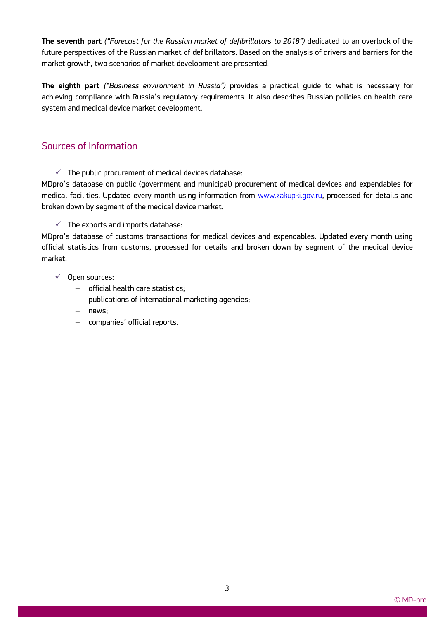**The seventh part** *("Forecast for the Russian market of defibrillators to 2018")* dedicated to an overlook of the future perspectives of the Russian market of defibrillators. Based on the analysis of drivers and barriers for the market growth, two scenarios of market development are presented.

**The eighth part** *("Business environment in Russia")* provides a practical guide to what is necessary for achieving compliance with Russia's regulatory requirements. It also describes Russian policies on health care system and medical device market development.

## Sources of Information

 $\checkmark$  The public procurement of medical devices database:

MDpro's database on public (government and municipal) procurement of medical devices and expendables for medical facilities. Updated every month using information from www.zakupki.gov.ru, processed for details and broken down by segment of the medical device market.

 $\checkmark$  The exports and imports database:

MDpro's database of customs transactions for medical devices and expendables. Updated every month using official statistics from customs, processed for details and broken down by segment of the medical device market.

 $\checkmark$  Open sources:

- official health care statistics;
- publications of international marketing agencies;
- news;
- companies' official reports.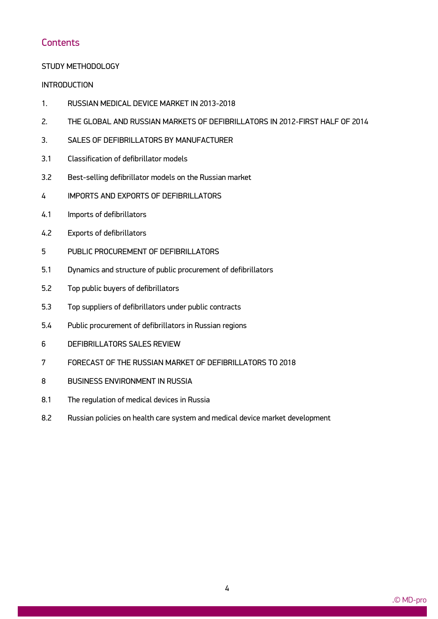## **Contents**

### STUDY METHODOLOGY

### **INTRODUCTION**

- 1. RUSSIAN MEDICAL DEVICE MARKET IN 2013-2018
- 2. THE GLOBAL AND RUSSIAN MARKETS OF DEFIBRILLATORS IN 2012-FIRST HALF OF 2014
- 3. SALES OF DEFIBRILLATORS BY MANUFACTURER
- 3.1 Classification of defibrillator models
- 3.2 Best-selling defibrillator models on the Russian market
- 4 IMPORTS AND EXPORTS OF DEFIBRILLATORS
- 4.1 Imports of defibrillators
- 4.2 Exports of defibrillators
- 5 PUBLIC PROCUREMENT OF DEFIBRILLATORS
- 5.1 Dynamics and structure of public procurement of defibrillators
- 5.2 Top public buyers of defibrillators
- 5.3 Top suppliers of defibrillators under public contracts
- 5.4 Public procurement of defibrillators in Russian regions
- 6 DEFIBRILLATORS SALES REVIEW
- 7 FORECAST OF THE RUSSIAN MARKET OF DEFIBRILLATORS TO 2018
- 8 BUSINESS ENVIRONMENT IN RUSSIA

- 8.1 The regulation of medical devices in Russia
- 8.2 Russian policies on health care system and medical device market development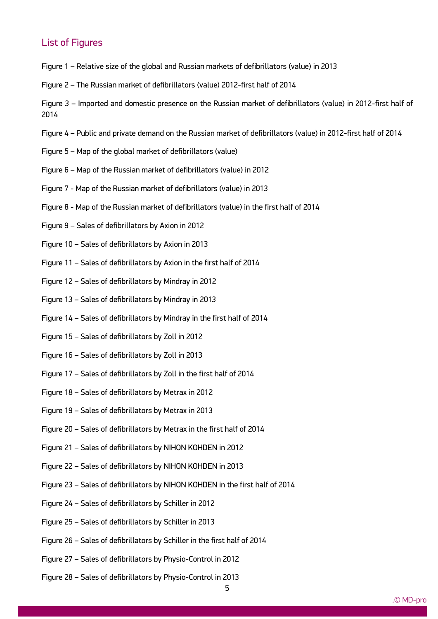### List of Figures

- Figure 1 Relative size of the global and Russian markets of defibrillators (value) in 2013
- Figure 2 The Russian market of defibrillators (value) 2012-first half of 2014
- Figure 3 Imported and domestic presence on the Russian market of defibrillators (value) in 2012-first half of 2014
- Figure 4 Public and private demand on the Russian market of defibrillators (value) in 2012-first half of 2014
- Figure 5 Map of the global market of defibrillators (value)
- Figure 6 Map of the Russian market of defibrillators (value) in 2012
- Figure 7 Map of the Russian market of defibrillators (value) in 2013
- Figure 8 Map of the Russian market of defibrillators (value) in the first half of 2014
- Figure 9 Sales of defibrillators by Axion in 2012
- Figure 10 Sales of defibrillators by Axion in 2013
- Figure 11 Sales of defibrillators by Axion in the first half of 2014
- Figure 12 Sales of defibrillators by Mindray in 2012
- Figure 13 Sales of defibrillators by Mindray in 2013
- Figure 14 Sales of defibrillators by Mindray in the first half of 2014
- Figure 15 Sales of defibrillators by Zoll in 2012
- Figure 16 Sales of defibrillators by Zoll in 2013
- Figure 17 Sales of defibrillators by Zoll in the first half of 2014
- Figure 18 Sales of defibrillators by Metrax in 2012
- Figure 19 Sales of defibrillators by Metrax in 2013
- Figure 20 Sales of defibrillators by Metrax in the first half of 2014
- Figure 21 Sales of defibrillators by NIHON KOHDEN in 2012
- Figure 22 Sales of defibrillators by NIHON KOHDEN in 2013
- Figure 23 Sales of defibrillators by NIHON KOHDEN in the first half of 2014
- Figure 24 Sales of defibrillators by Schiller in 2012
- Figure 25 Sales of defibrillators by Schiller in 2013

- Figure 26 Sales of defibrillators by Schiller in the first half of 2014
- Figure 27 Sales of defibrillators by Physio-Control in 2012
- Figure 28 Sales of defibrillators by Physio-Control in 2013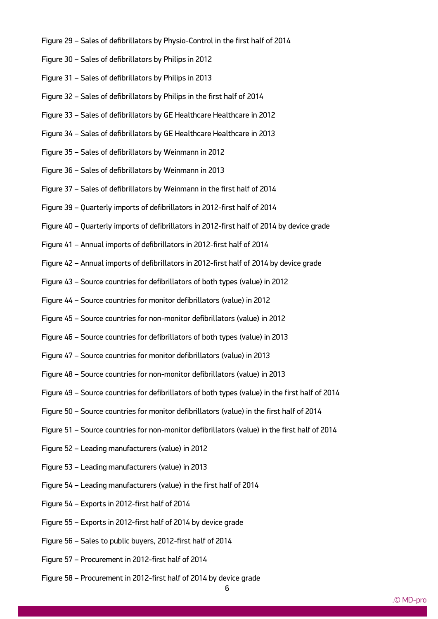- Figure 29 Sales of defibrillators by Physio-Control in the first half of 2014
- Figure 30 Sales of defibrillators by Philips in 2012
- Figure 31 Sales of defibrillators by Philips in 2013
- Figure 32 Sales of defibrillators by Philips in the first half of 2014
- Figure 33 Sales of defibrillators by GE Healthcare Healthcare in 2012
- Figure 34 Sales of defibrillators by GE Healthcare Healthcare in 2013
- Figure 35 Sales of defibrillators by Weinmann in 2012
- Figure 36 Sales of defibrillators by Weinmann in 2013
- Figure 37 Sales of defibrillators by Weinmann in the first half of 2014
- Figure 39 Quarterly imports of defibrillators in 2012-first half of 2014
- Figure 40 Quarterly imports of defibrillators in 2012-first half of 2014 by device grade
- Figure 41 Annual imports of defibrillators in 2012-first half of 2014
- Figure 42 Annual imports of defibrillators in 2012-first half of 2014 by device grade
- Figure 43 Source countries for defibrillators of both types (value) in 2012
- Figure 44 Source countries for monitor defibrillators (value) in 2012
- Figure 45 Source countries for non-monitor defibrillators (value) in 2012
- Figure 46 Source countries for defibrillators of both types (value) in 2013
- Figure 47 Source countries for monitor defibrillators (value) in 2013
- Figure 48 Source countries for non-monitor defibrillators (value) in 2013
- Figure 49 Source countries for defibrillators of both types (value) in the first half of 2014
- Figure 50 Source countries for monitor defibrillators (value) in the first half of 2014
- Figure 51 Source countries for non-monitor defibrillators (value) in the first half of 2014
- Figure 52 Leading manufacturers (value) in 2012
- Figure 53 Leading manufacturers (value) in 2013
- Figure 54 Leading manufacturers (value) in the first half of 2014
- Figure 54 Exports in 2012-first half of 2014
- Figure 55 Exports in 2012-first half of 2014 by device grade
- Figure 56 Sales to public buyers, 2012-first half of 2014
- Figure 57 Procurement in 2012-first half of 2014

ww.mdecker.com

Figure 58 – Procurement in 2012-first half of 2014 by device grade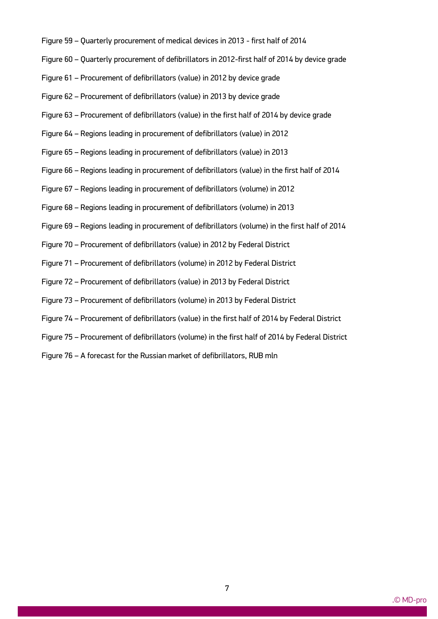- Figure 59 Quarterly procurement of medical devices in 2013 first half of 2014
- Figure 60 Quarterly procurement of defibrillators in 2012-first half of 2014 by device grade
- Figure 61 Procurement of defibrillators (value) in 2012 by device grade
- Figure 62 Procurement of defibrillators (value) in 2013 by device grade
- Figure 63 Procurement of defibrillators (value) in the first half of 2014 by device grade
- Figure 64 Regions leading in procurement of defibrillators (value) in 2012
- Figure 65 Regions leading in procurement of defibrillators (value) in 2013
- Figure 66 Regions leading in procurement of defibrillators (value) in the first half of 2014
- Figure 67 Regions leading in procurement of defibrillators (volume) in 2012
- Figure 68 Regions leading in procurement of defibrillators (volume) in 2013
- Figure 69 Regions leading in procurement of defibrillators (volume) in the first half of 2014
- Figure 70 Procurement of defibrillators (value) in 2012 by Federal District
- Figure 71 Procurement of defibrillators (volume) in 2012 by Federal District
- Figure 72 Procurement of defibrillators (value) in 2013 by Federal District
- Figure 73 Procurement of defibrillators (volume) in 2013 by Federal District
- Figure 74 Procurement of defibrillators (value) in the first half of 2014 by Federal District
- Figure 75 Procurement of defibrillators (volume) in the first half of 2014 by Federal District
- Figure 76 A forecast for the Russian market of defibrillators, RUB mln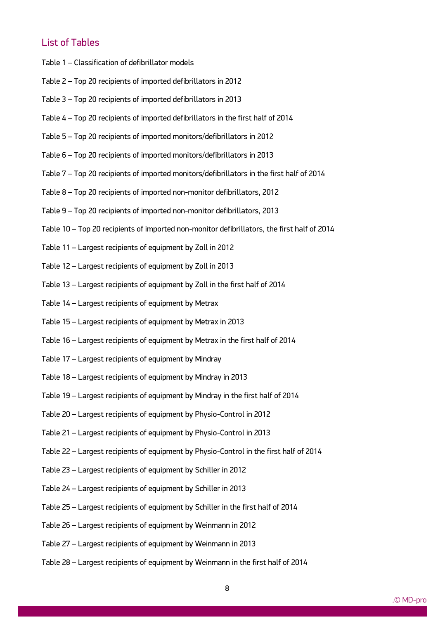# List of Tables

- Table 1 Classification of defibrillator models
- Table 2 Top 20 recipients of imported defibrillators in 2012
- Table 3 Top 20 recipients of imported defibrillators in 2013
- Table 4 Top 20 recipients of imported defibrillators in the first half of 2014
- Table 5 Top 20 recipients of imported monitors/defibrillators in 2012
- Table 6 Top 20 recipients of imported monitors/defibrillators in 2013
- Table 7 Top 20 recipients of imported monitors/defibrillators in the first half of 2014
- Table 8 Top 20 recipients of imported non-monitor defibrillators, 2012
- Table 9 Top 20 recipients of imported non-monitor defibrillators, 2013
- Table 10 Top 20 recipients of imported non-monitor defibrillators, the first half of 2014
- Table 11 Largest recipients of equipment by Zoll in 2012
- Table 12 Largest recipients of equipment by Zoll in 2013
- Table 13 Largest recipients of equipment by Zoll in the first half of 2014
- Table 14 Largest recipients of equipment by Metrax
- Table 15 Largest recipients of equipment by Metrax in 2013
- Table 16 Largest recipients of equipment by Metrax in the first half of 2014
- Table 17 Largest recipients of equipment by Mindray
- Table 18 Largest recipients of equipment by Mindray in 2013
- Table 19 Largest recipients of equipment by Mindray in the first half of 2014
- Table 20 Largest recipients of equipment by Physio-Control in 2012
- Table 21 Largest recipients of equipment by Physio-Control in 2013
- Table 22 Largest recipients of equipment by Physio-Control in the first half of 2014
- Table 23 Largest recipients of equipment by Schiller in 2012
- Table 24 Largest recipients of equipment by Schiller in 2013
- Table 25 Largest recipients of equipment by Schiller in the first half of 2014
- Table 26 Largest recipients of equipment by Weinmann in 2012
- Table 27 Largest recipients of equipment by Weinmann in 2013

ww.mdecker.com

Table 28 – Largest recipients of equipment by Weinmann in the first half of 2014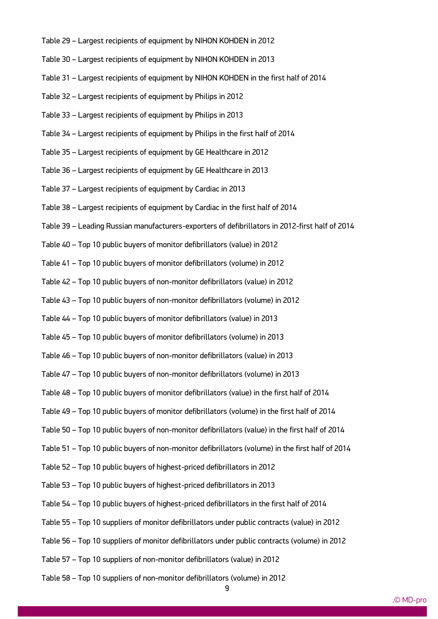- Table 29 Largest recipients of equipment by NIHON KOHDEN in 2012
- Table 30 Largest recipients of equipment by NIHON KOHDEN in 2013
- Table 31 Largest recipients of equipment by NIHON KOHDEN in the first half of 2014
- Table 32 Largest recipients of equipment by Philips in 2012
- Table 33 Largest recipients of equipment by Philips in 2013
- Table 34 Largest recipients of equipment by Philips in the first half of 2014
- Table 35 Largest recipients of equipment by GE Healthcare in 2012
- Table 36 Largest recipients of equipment by GE Healthcare in 2013
- Table 37 Largest recipients of equipment by Cardiac in 2013
- Table 38 Largest recipients of equipment by Cardiac in the first half of 2014
- Table 39 Leading Russian manufacturers-exporters of defibrillators in 2012-first half of 2014
- Table 40 Top 10 public buyers of monitor defibrillators (value) in 2012
- Table 41 Top 10 public buyers of monitor defibrillators (volume) in 2012
- Table 42 Top 10 public buyers of non-monitor defibrillators (value) in 2012
- Table 43 Top 10 public buyers of non-monitor defibrillators (volume) in 2012
- Table 44 Top 10 public buyers of monitor defibrillators (value) in 2013
- Table 45 Top 10 public buyers of monitor defibrillators (volume) in 2013
- Table 46 Top 10 public buyers of non-monitor defibrillators (value) in 2013
- Table 47 Top 10 public buyers of non-monitor defibrillators (volume) in 2013
- Table 48 Top 10 public buyers of monitor defibrillators (value) in the first half of 2014
- Table 49 Top 10 public buyers of monitor defibrillators (volume) in the first half of 2014
- Table 50 Top 10 public buyers of non-monitor defibrillators (value) in the first half of 2014
- Table 51 Top 10 public buyers of non-monitor defibrillators (volume) in the first half of 2014
- Table 52 Top 10 public buyers of highest-priced defibrillators in 2012
- Table 53 Top 10 public buyers of highest-priced defibrillators in 2013
- Table 54 Top 10 public buyers of highest-priced defibrillators in the first half of 2014
- Table 55 Top 10 suppliers of monitor defibrillators under public contracts (value) in 2012
- Table 56 Top 10 suppliers of monitor defibrillators under public contracts (volume) in 2012
- Table 57 Top 10 suppliers of non-monitor defibrillators (value) in 2012
- Table 58 Top 10 suppliers of non-monitor defibrillators (volume) in 2012

ww.mdecker.com

9